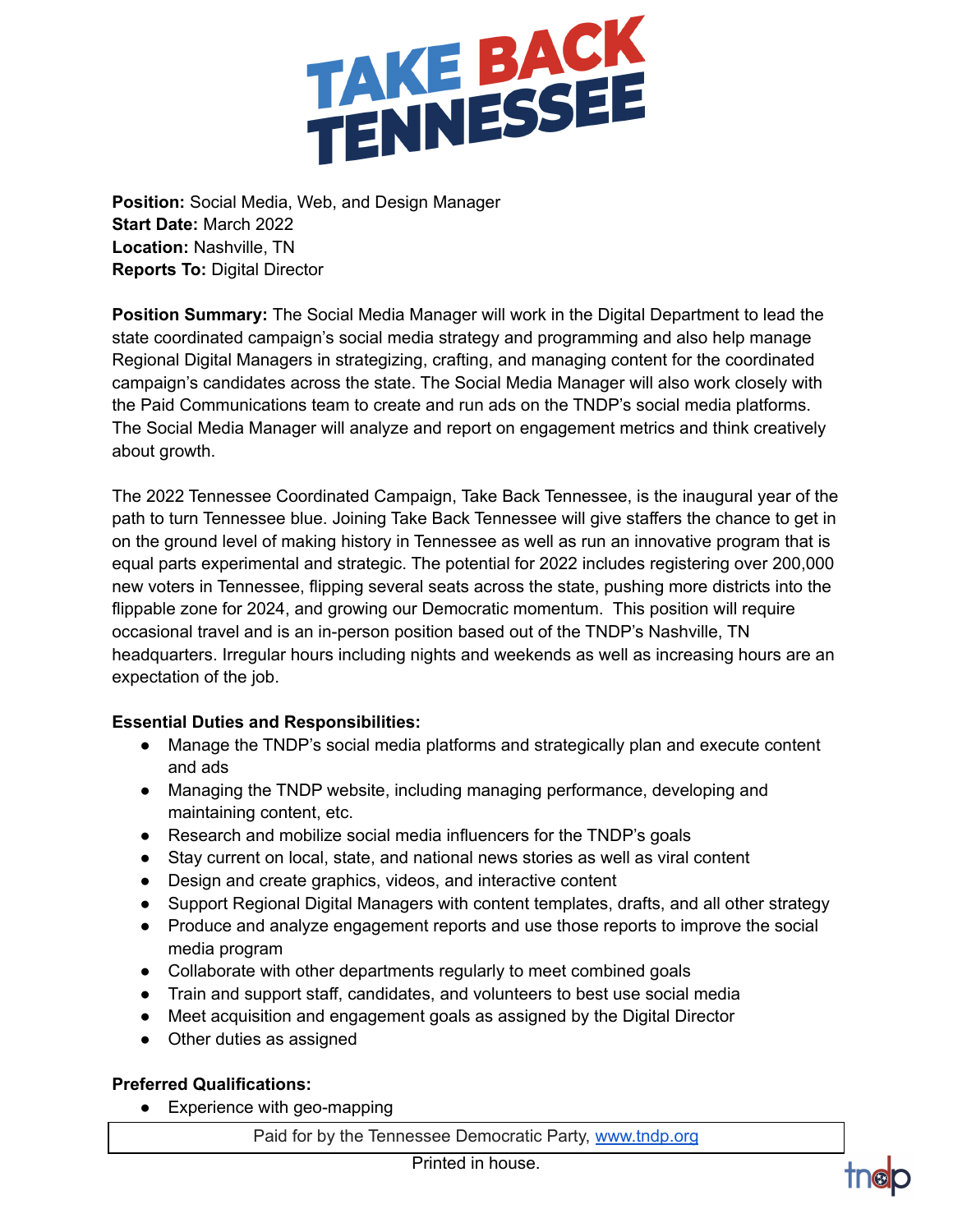

**Position:** Social Media, Web, and Design Manager **Start Date:** March 2022 **Location:** Nashville, TN **Reports To:** Digital Director

**Position Summary:** The Social Media Manager will work in the Digital Department to lead the state coordinated campaign's social media strategy and programming and also help manage Regional Digital Managers in strategizing, crafting, and managing content for the coordinated campaign's candidates across the state. The Social Media Manager will also work closely with the Paid Communications team to create and run ads on the TNDP's social media platforms. The Social Media Manager will analyze and report on engagement metrics and think creatively about growth.

The 2022 Tennessee Coordinated Campaign, Take Back Tennessee, is the inaugural year of the path to turn Tennessee blue. Joining Take Back Tennessee will give staffers the chance to get in on the ground level of making history in Tennessee as well as run an innovative program that is equal parts experimental and strategic. The potential for 2022 includes registering over 200,000 new voters in Tennessee, flipping several seats across the state, pushing more districts into the flippable zone for 2024, and growing our Democratic momentum. This position will require occasional travel and is an in-person position based out of the TNDP's Nashville, TN headquarters. Irregular hours including nights and weekends as well as increasing hours are an expectation of the job.

## **Essential Duties and Responsibilities:**

- Manage the TNDP's social media platforms and strategically plan and execute content and ads
- Managing the TNDP website, including managing performance, developing and maintaining content, etc.
- Research and mobilize social media influencers for the TNDP's goals
- Stay current on local, state, and national news stories as well as viral content
- Design and create graphics, videos, and interactive content
- Support Regional Digital Managers with content templates, drafts, and all other strategy
- Produce and analyze engagement reports and use those reports to improve the social media program
- Collaborate with other departments regularly to meet combined goals
- Train and support staff, candidates, and volunteers to best use social media
- Meet acquisition and engagement goals as assigned by the Digital Director
- Other duties as assigned

## **Preferred Qualifications:**

• Experience with geo-mapping

Paid for by the Tennessee Democratic Party, [www.tndp.org](http://www.tndp.org/)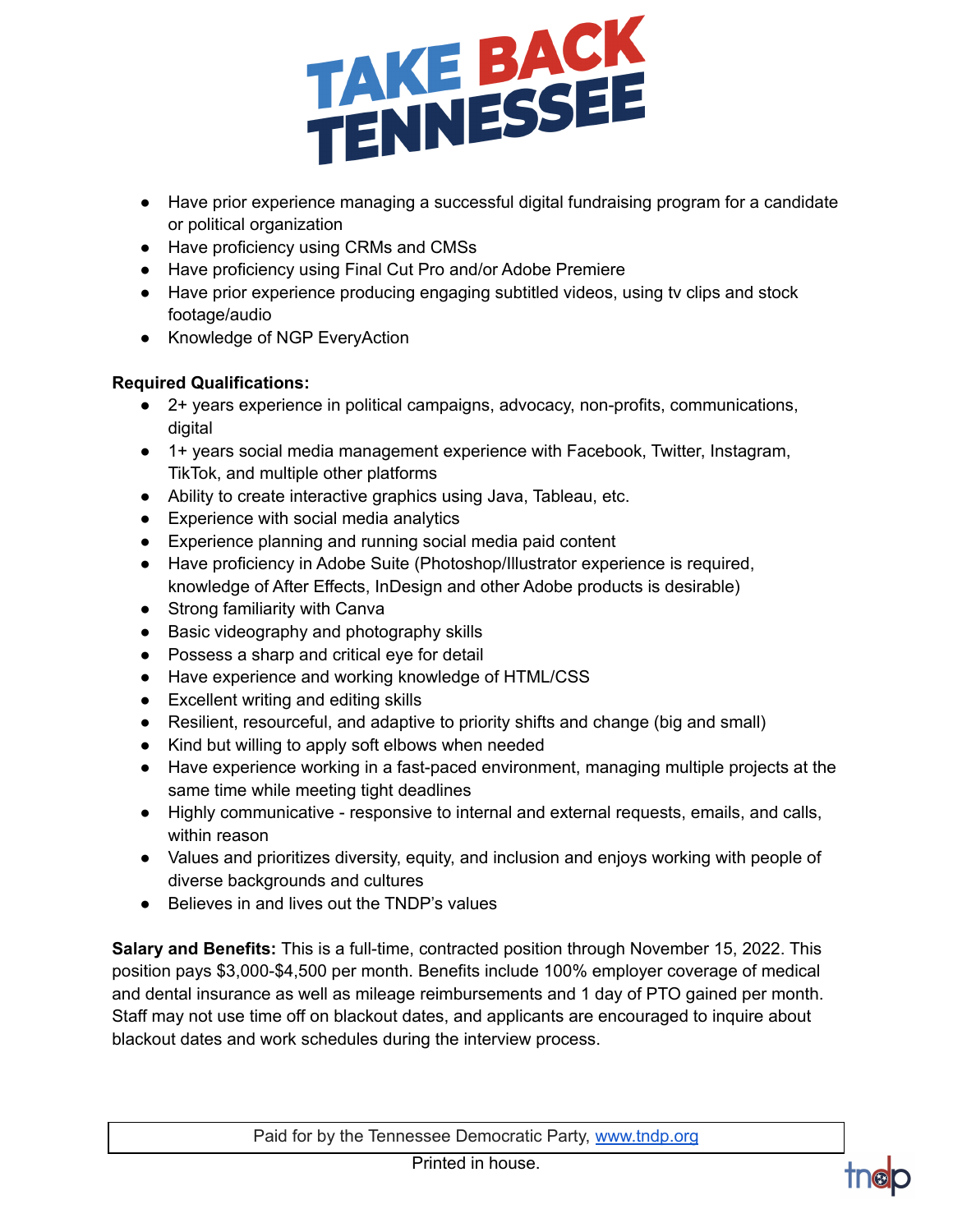

- Have prior experience managing a successful digital fundraising program for a candidate or political organization
- Have proficiency using CRMs and CMSs
- Have proficiency using Final Cut Pro and/or Adobe Premiere
- Have prior experience producing engaging subtitled videos, using tv clips and stock footage/audio
- Knowledge of NGP EveryAction

## **Required Qualifications:**

- 2+ years experience in political campaigns, advocacy, non-profits, communications, digital
- 1+ years social media management experience with Facebook, Twitter, Instagram, TikTok, and multiple other platforms
- Ability to create interactive graphics using Java, Tableau, etc.
- Experience with social media analytics
- Experience planning and running social media paid content
- Have proficiency in Adobe Suite (Photoshop/Illustrator experience is required, knowledge of After Effects, InDesign and other Adobe products is desirable)
- Strong familiarity with Canva
- Basic videography and photography skills
- Possess a sharp and critical eye for detail
- Have experience and working knowledge of HTML/CSS
- Excellent writing and editing skills
- Resilient, resourceful, and adaptive to priority shifts and change (big and small)
- Kind but willing to apply soft elbows when needed
- Have experience working in a fast-paced environment, managing multiple projects at the same time while meeting tight deadlines
- Highly communicative responsive to internal and external requests, emails, and calls, within reason
- Values and prioritizes diversity, equity, and inclusion and enjoys working with people of diverse backgrounds and cultures
- Believes in and lives out the TNDP's values

**Salary and Benefits:** This is a full-time, contracted position through November 15, 2022. This position pays \$3,000-\$4,500 per month. Benefits include 100% employer coverage of medical and dental insurance as well as mileage reimbursements and 1 day of PTO gained per month. Staff may not use time off on blackout dates, and applicants are encouraged to inquire about blackout dates and work schedules during the interview process.